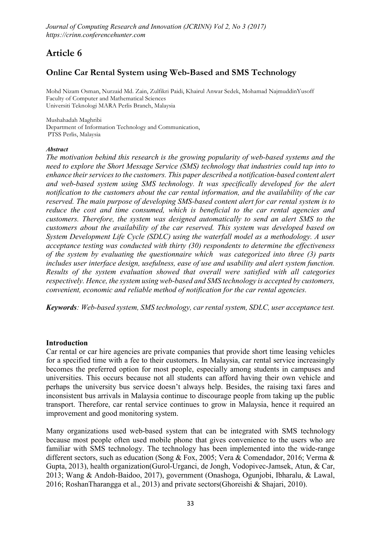# Article 6

# Online Car Rental System using Web-Based and SMS Technology

**Mohd Nizam Osman, Nurzaid Md. Zain, Zulfikri Paidi, Khairul Anwar Sedek, Mohamad NajmuddinYusoff Faculty of Computer and Mathematical Sciences Universiti Teknologi MARA Perlis Branch, Malaysia**

**Mushahadah Maghribi Department of Information Technology and Communication, PTSS Perlis, Malaysia**

#### *Abstract*

*The motivation behind this research is the growing popularity of web-based systems and the need to explore the Short Message Service (SMS) technology that industries could tap into to enhance their services to the customers. This paper described a notification-based content alert and web-based system using SMS technology. It was specifically developed for the alert notification to the customers about the car rental information, and the availability of the car reserved. The main purpose of developing SMS-based content alert for car rental system is to reduce the cost and time consumed, which is beneficial to the car rental agencies and customers. Therefore, the system was designed automatically to send an alert SMS to the customers about the availability of the car reserved. This system was developed based on System Development Life Cycle (SDLC) using the waterfall model as a methodology. A user acceptance testing was conducted with thirty (30) respondents to determine the effectiveness of the system by evaluating the questionnaire which was categorized into three (3) parts includes user interface design, usefulness, ease of use and usability and alert system function. Results of the system evaluation showed that overall were satisfied with all categories respectively. Hence, the system using web-based and SMS technology is accepted by customers, convenient, economic and reliable method of notification for the car rental agencies.*

*Keywords: Web-based system, SMS technology, car rental system, SDLC, user acceptance test.*

### Introduction

Car rental or car hire agencies are private companies that provide short time leasing vehicles for a specified time with a fee to their customers. In Malaysia, car rental service increasingly becomes the preferred option for most people, especially among students in campuses and universities. This occurs because not all students can afford having their own vehicle and perhaps the university bus service doesn't always help. Besides, the raising taxi fares and inconsistent bus arrivals in Malaysia continue to discourage people from taking up the public transport. Therefore, car rental service continues to grow in Malaysia, hence it required an improvement and good monitoring system.

Many organizations used web-based system that can be integrated with SMS technology because most people often used mobile phone that gives convenience to the users who are familiar with SMS technology. The technology has been implemented into the wide-range different sectors, such as education (Song & Fox, 2005; Vera & Comendador, 2016; Verma & Gupta, 2013), health organization(Gurol-Urganci, de Jongh, Vodopivec-Jamsek, Atun, & Car, 2013; Wang & Andoh-Baidoo, 2017), government (Onashoga, Ogunjobi, Ibharalu, & Lawal, 2016; RoshanTharangga et al., 2013) and private sectors(Ghoreishi & Shajari, 2010).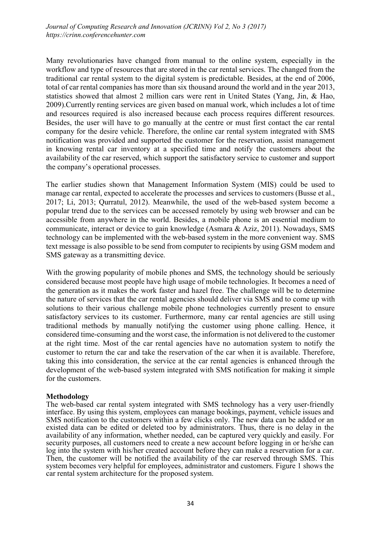Many revolutionaries have changed from manual to the online system, especially in the workflow and type of resources that are stored in the car rental services. The changed from the traditional car rental system to the digital system is predictable. Besides, at the end of 2006, total of car rental companies has more than six thousand around the world and in the year 2013, statistics showed that almost 2 million cars were rent in United States (Yang, Jin, & Hao, 2009).Currently renting services are given based on manual work, which includes a lot of time and resources required is also increased because each process requires different resources. Besides, the user will have to go manually at the centre or must first contact the car rental company for the desire vehicle. Therefore, the online car rental system integrated with SMS notification was provided and supported the customer for the reservation, assist management in knowing rental car inventory at a specified time and notify the customers about the availability of the car reserved, which support the satisfactory service to customer and support the company's operational processes.

The earlier studies shown that Management Information System (MIS) could be used to manage car rental, expected to accelerate the processes and services to customers (Busse et al., 2017; Li, 2013; Qurratul, 2012). Meanwhile, the used of the web-based system become a popular trend due to the services can be accessed remotely by using web browser and can be accessible from anywhere in the world. Besides, a mobile phone is an essential medium to communicate, interact or device to gain knowledge (Asmara & Aziz, 2011). Nowadays, SMS technology can be implemented with the web-based system in the more convenient way. SMS text message is also possible to be send from computer to recipients by using GSM modem and SMS gateway as a transmitting device.

With the growing popularity of mobile phones and SMS, the technology should be seriously considered because most people have high usage of mobile technologies. It becomes a need of the generation as it makes the work faster and hazel free. The challenge will be to determine the nature of services that the car rental agencies should deliver via SMS and to come up with solutions to their various challenge mobile phone technologies currently present to ensure satisfactory services to its customer. Furthermore, many car rental agencies are still using traditional methods by manually notifying the customer using phone calling. Hence, it considered time-consuming and the worst case, the information is not delivered to the customer at the right time. Most of the car rental agencies have no automation system to notify the customer to return the car and take the reservation of the car when it is available. Therefore, taking this into consideration, the service at the car rental agencies is enhanced through the development of the web-based system integrated with SMS notification for making it simple for the customers.

#### **Methodology**

The web-based car rental system integrated with SMS technology has a very user-friendly interface. By using this system, employees can manage bookings, payment, vehicle issues and SMS notification to the customers within a few clicks only. The new data can be added or an existed data can be edited or deleted too by administrators. Thus, there is no delay in the availability of any information, whether needed, can be captured very quickly and easily. For security purposes, all customers need to create a new account before logging in or he/she can log into the system with his/her created account before they can make a reservation for a car. Then, the customer will be notified the availability of the car reserved through SMS. This system becomes very helpful for employees, administrator and customers. Figure 1 shows the car rental system architecture for the proposed system.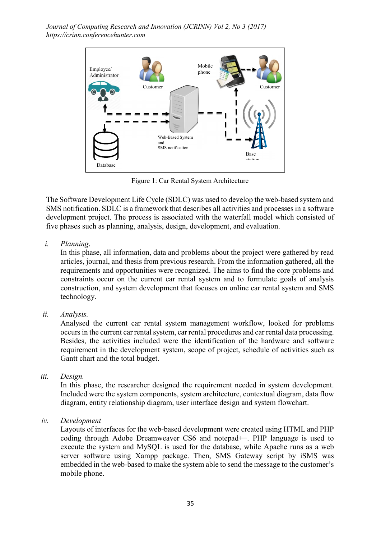

Figure 1: Car Rental System Architecture

The Software Development Life Cycle (SDLC) was used to develop the web-based system and SMS notification. SDLC is a framework that describes all activities and processes in a software development project. The process is associated with the waterfall model which consisted of five phases such as planning, analysis, design, development, and evaluation.

*i. Planning*.

In this phase, all information, data and problems about the project were gathered by read articles, journal, and thesis from previous research. From the information gathered, all the requirements and opportunities were recognized. The aims to find the core problems and constraints occur on the current car rental system and to formulate goals of analysis construction, and system development that focuses on online car rental system and SMS technology.

*ii. Analysis.* 

Analysed the current car rental system management workflow, looked for problems occurs in the current car rental system, car rental procedures and car rental data processing. Besides, the activities included were the identification of the hardware and software requirement in the development system, scope of project, schedule of activities such as Gantt chart and the total budget.

*iii. Design.* 

In this phase, the researcher designed the requirement needed in system development. Included were the system components, system architecture, contextual diagram, data flow diagram, entity relationship diagram, user interface design and system flowchart.

*iv. Development* 

Layouts of interfaces for the web-based development were created using HTML and PHP coding through Adobe Dreamweaver CS6 and notepad++. PHP language is used to execute the system and MySQL is used for the database, while Apache runs as a web server software using Xampp package. Then, SMS Gateway script by iSMS was embedded in the web-based to make the system able to send the message to the customer's mobile phone.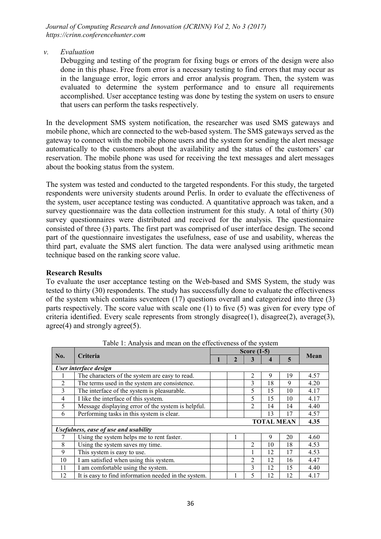*v. Evaluation* 

Debugging and testing of the program for fixing bugs or errors of the design were also done in this phase. Free from error is a necessary testing to find errors that may occur as in the language error, logic errors and error analysis program. Then, the system was evaluated to determine the system performance and to ensure all requirements accomplished. User acceptance testing was done by testing the system on users to ensure that users can perform the tasks respectively.

In the development SMS system notification, the researcher was used SMS gateways and mobile phone, which are connected to the web-based system. The SMS gateways served as the gateway to connect with the mobile phone users and the system for sending the alert message automatically to the customers about the availability and the status of the customers' car reservation. The mobile phone was used for receiving the text messages and alert messages about the booking status from the system.

The system was tested and conducted to the targeted respondents. For this study, the targeted respondents were university students around Perlis. In order to evaluate the effectiveness of the system, user acceptance testing was conducted. A quantitative approach was taken, and a survey questionnaire was the data collection instrument for this study. A total of thirty (30) survey questionnaires were distributed and received for the analysis. The questionnaire consisted of three (3) parts. The first part was comprised of user interface design. The second part of the questionnaire investigates the usefulness, ease of use and usability, whereas the third part, evaluate the SMS alert function. The data were analysed using arithmetic mean technique based on the ranking score value.

## Research Results

To evaluate the user acceptance testing on the Web-based and SMS System, the study was tested to thirty (30) respondents. The study has successfully done to evaluate the effectiveness of the system which contains seventeen (17) questions overall and categorized into three (3) parts respectively. The score value with scale one (1) to five (5) was given for every type of criteria identified. Every scale represents from strongly disagree(1), disagree(2), average(3), agree(4) and strongly agree(5).

| No.                                   | <b>Criteria</b>                                      |  |              |                |                  |    |      |  |  |
|---------------------------------------|------------------------------------------------------|--|--------------|----------------|------------------|----|------|--|--|
|                                       |                                                      |  | $\mathbf{2}$ | 3              | $\boldsymbol{4}$ | 5  | Mean |  |  |
| User interface design                 |                                                      |  |              |                |                  |    |      |  |  |
|                                       | The characters of the system are easy to read.       |  |              | 2              | 9                | 19 | 4.57 |  |  |
| 2                                     | The terms used in the system are consistence.        |  |              | 3              | 18               | 9  | 4.20 |  |  |
| 3                                     | The interface of the system is pleasurable.          |  |              | 5              | 15               | 10 | 4.17 |  |  |
| $\overline{4}$                        | I like the interface of this system.                 |  |              | 5              | 15               | 10 | 4.17 |  |  |
| 5                                     | Message displaying error of the system is helpful.   |  |              | $\overline{2}$ | 14               | 14 | 4.40 |  |  |
| 6                                     | Performing tasks in this system is clear.            |  |              |                | 13               | 17 | 4.57 |  |  |
|                                       |                                                      |  | 4.35         |                |                  |    |      |  |  |
| Usefulness, ease of use and usability |                                                      |  |              |                |                  |    |      |  |  |
|                                       | Using the system helps me to rent faster.            |  |              |                | 9                | 20 | 4.60 |  |  |
| 8                                     | Using the system saves my time.                      |  |              | 2              | 10               | 18 | 4.53 |  |  |
| 9                                     | This system is easy to use.                          |  |              | 1              | 12               | 17 | 4.53 |  |  |
| 10                                    | I am satisfied when using this system.               |  |              | 2              | 12               | 16 | 4.47 |  |  |
| 11                                    | I am comfortable using the system.                   |  |              | 3              | 12               | 15 | 4.40 |  |  |
| 12                                    | It is easy to find information needed in the system. |  |              | 5              | 12               | 12 | 4.17 |  |  |

Table 1: Analysis and mean on the effectiveness of the system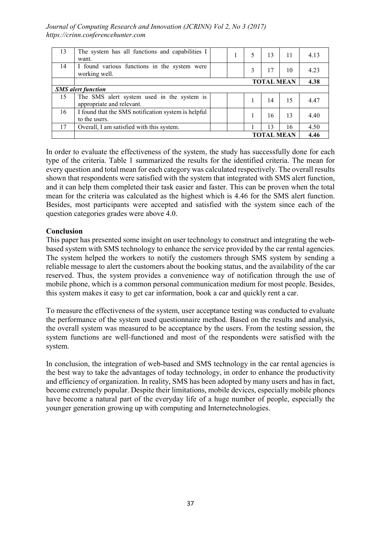|                           | <b>TOTAL MEAN</b>                                                       |      |   |   |    |    |      |  |  |
|---------------------------|-------------------------------------------------------------------------|------|---|---|----|----|------|--|--|
| 17                        | Overall, I am satisfied with this system.                               |      |   |   | 13 | 16 | 4.50 |  |  |
| 16                        | I found that the SMS notification system is helpful<br>to the users.    |      |   |   | 16 | 13 | 4.40 |  |  |
| 15                        | The SMS alert system used in the system is<br>appropriate and relevant. |      |   |   | 14 | 15 | 4.47 |  |  |
| <b>SMS</b> alert function |                                                                         |      |   |   |    |    |      |  |  |
|                           |                                                                         | 4.38 |   |   |    |    |      |  |  |
| 14                        | I found various functions in the system were<br>working well.           |      |   | 3 | 17 | 10 | 4.23 |  |  |
| 13                        | The system has all functions and capabilities I<br>want.                |      | T | 5 | 13 | 11 | 4.13 |  |  |

In order to evaluate the effectiveness of the system, the study has successfully done for each type of the criteria. Table 1 summarized the results for the identified criteria. The mean for every question and total mean for each category was calculated respectively. The overall results shown that respondents were satisfied with the system that integrated with SMS alert function, and it can help them completed their task easier and faster. This can be proven when the total mean for the criteria was calculated as the highest which is 4.46 for the SMS alert function. Besides, most participants were accepted and satisfied with the system since each of the question categories grades were above 4.0.

# Conclusion

This paper has presented some insight on user technology to construct and integrating the webbased system with SMS technology to enhance the service provided by the car rental agencies. The system helped the workers to notify the customers through SMS system by sending a reliable message to alert the customers about the booking status, and the availability of the car reserved. Thus, the system provides a convenience way of notification through the use of mobile phone, which is a common personal communication medium for most people. Besides, this system makes it easy to get car information, book a car and quickly rent a car.

To measure the effectiveness of the system, user acceptance testing was conducted to evaluate the performance of the system used questionnaire method. Based on the results and analysis, the overall system was measured to be acceptance by the users. From the testing session, the system functions are well-functioned and most of the respondents were satisfied with the system.

In conclusion, the integration of web-based and SMS technology in the car rental agencies is the best way to take the advantages of today technology, in order to enhance the productivity and efficiency of organization. In reality, SMS has been adopted by many users and has in fact, become extremely popular. Despite their limitations, mobile devices, especially mobile phones have become a natural part of the everyday life of a huge number of people, especially the younger generation growing up with computing and Internetechnologies.